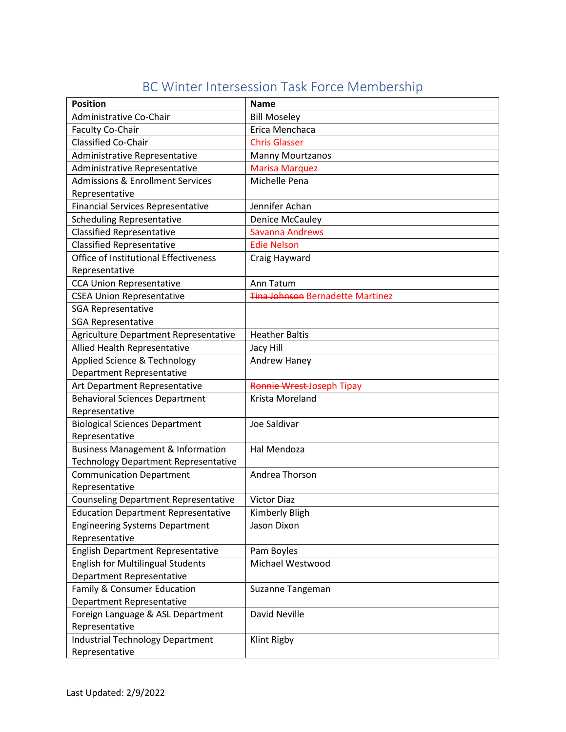|  | BC Winter Intersession Task Force Membership |
|--|----------------------------------------------|
|  |                                              |

| <b>Position</b>                              | <b>Name</b>                      |  |
|----------------------------------------------|----------------------------------|--|
| Administrative Co-Chair                      | <b>Bill Moseley</b>              |  |
| Faculty Co-Chair                             | Erica Menchaca                   |  |
| <b>Classified Co-Chair</b>                   | <b>Chris Glasser</b>             |  |
| Administrative Representative                | <b>Manny Mourtzanos</b>          |  |
| Administrative Representative                | <b>Marisa Marquez</b>            |  |
| <b>Admissions &amp; Enrollment Services</b>  | Michelle Pena                    |  |
| Representative                               |                                  |  |
| <b>Financial Services Representative</b>     | Jennifer Achan                   |  |
| <b>Scheduling Representative</b>             | <b>Denice McCauley</b>           |  |
| <b>Classified Representative</b>             | Savanna Andrews                  |  |
| <b>Classified Representative</b>             | <b>Edie Nelson</b>               |  |
| Office of Institutional Effectiveness        | Craig Hayward                    |  |
| Representative                               |                                  |  |
| <b>CCA Union Representative</b>              | Ann Tatum                        |  |
| <b>CSEA Union Representative</b>             | Tina Johnson Bernadette Martinez |  |
| <b>SGA Representative</b>                    |                                  |  |
| <b>SGA Representative</b>                    |                                  |  |
| Agriculture Department Representative        | <b>Heather Baltis</b>            |  |
| Allied Health Representative                 | Jacy Hill                        |  |
| Applied Science & Technology                 | Andrew Haney                     |  |
| <b>Department Representative</b>             |                                  |  |
| Art Department Representative                | Ronnie Wrest-Joseph Tipay        |  |
| <b>Behavioral Sciences Department</b>        | Krista Moreland                  |  |
| Representative                               |                                  |  |
| <b>Biological Sciences Department</b>        | Joe Saldivar                     |  |
| Representative                               |                                  |  |
| <b>Business Management &amp; Information</b> | Hal Mendoza                      |  |
| <b>Technology Department Representative</b>  |                                  |  |
| <b>Communication Department</b>              | Andrea Thorson                   |  |
| Representative                               |                                  |  |
| <b>Counseling Department Representative</b>  | <b>Victor Diaz</b>               |  |
| <b>Education Department Representative</b>   | Kimberly Bligh                   |  |
| <b>Engineering Systems Department</b>        | Jason Dixon                      |  |
| Representative                               |                                  |  |
| English Department Representative            | Pam Boyles                       |  |
| <b>English for Multilingual Students</b>     | Michael Westwood                 |  |
| Department Representative                    |                                  |  |
| Family & Consumer Education                  | Suzanne Tangeman                 |  |
| Department Representative                    |                                  |  |
| Foreign Language & ASL Department            | David Neville                    |  |
| Representative                               |                                  |  |
| <b>Industrial Technology Department</b>      | Klint Rigby                      |  |
| Representative                               |                                  |  |